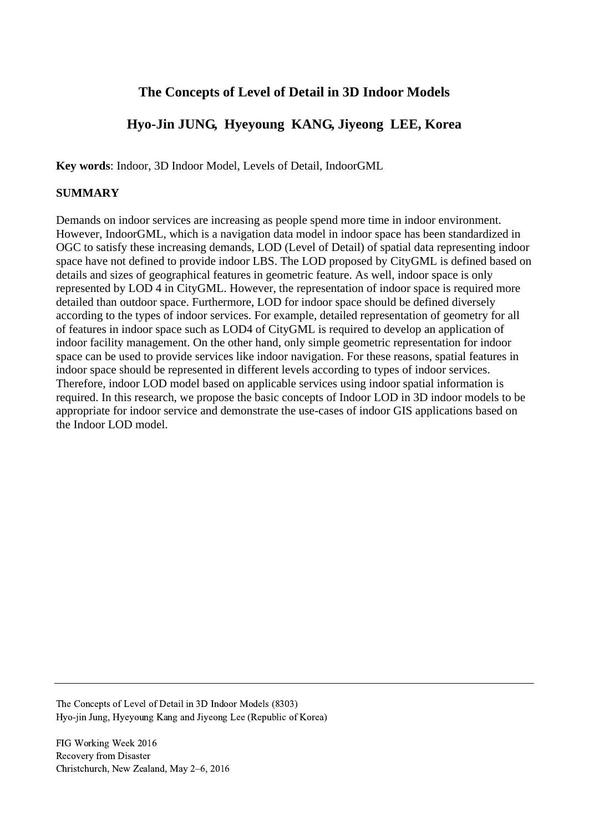# **The Concepts of Level of Detail in 3D Indoor Models**

# **Hyo-Jin JUNG, Hyeyoung KANG, Jiyeong LEE, Korea**

**Key words**: Indoor, 3D Indoor Model, Levels of Detail, IndoorGML

#### **SUMMARY**

Demands on indoor services are increasing as people spend more time in indoor environment. However, IndoorGML, which is a navigation data model in indoor space has been standardized in OGC to satisfy these increasing demands, LOD (Level of Detail) of spatial data representing indoor space have not defined to provide indoor LBS. The LOD proposed by CityGML is defined based on details and sizes of geographical features in geometric feature. As well, indoor space is only represented by LOD 4 in CityGML. However, the representation of indoor space is required more detailed than outdoor space. Furthermore, LOD for indoor space should be defined diversely according to the types of indoor services. For example, detailed representation of geometry for all of features in indoor space such as LOD4 of CityGML is required to develop an application of indoor facility management. On the other hand, only simple geometric representation for indoor space can be used to provide services like indoor navigation. For these reasons, spatial features in indoor space should be represented in different levels according to types of indoor services. Therefore, indoor LOD model based on applicable services using indoor spatial information is required. In this research, we propose the basic concepts of Indoor LOD in 3D indoor models to be appropriate for indoor service and demonstrate the use-cases of indoor GIS applications based on the Indoor LOD model.

The Concepts of Level of Detail in 3D Indoor Models (8303) Hyo-jin Jung, Hyeyoung Kang and Jiyeong Lee (Republic of Korea)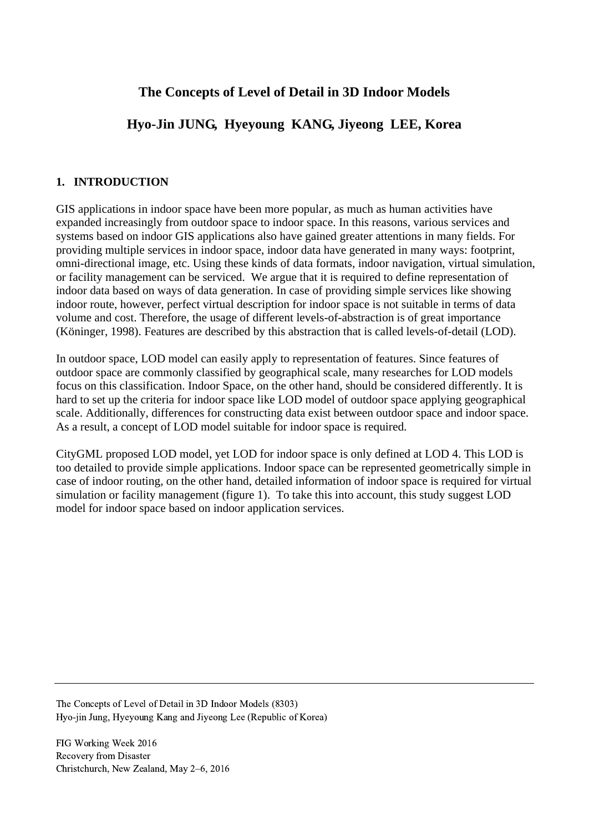# **The Concepts of Level of Detail in 3D Indoor Models**

# **Hyo-Jin JUNG, Hyeyoung KANG, Jiyeong LEE, Korea**

### **1. INTRODUCTION**

GIS applications in indoor space have been more popular, as much as human activities have expanded increasingly from outdoor space to indoor space. In this reasons, various services and systems based on indoor GIS applications also have gained greater attentions in many fields. For providing multiple services in indoor space, indoor data have generated in many ways: footprint, omni-directional image, etc. Using these kinds of data formats, indoor navigation, virtual simulation, or facility management can be serviced. We argue that it is required to define representation of indoor data based on ways of data generation. In case of providing simple services like showing indoor route, however, perfect virtual description for indoor space is not suitable in terms of data volume and cost. Therefore, the usage of different levels-of-abstraction is of great importance (Köninger, 1998). Features are described by this abstraction that is called levels-of-detail (LOD).

In outdoor space, LOD model can easily apply to representation of features. Since features of outdoor space are commonly classified by geographical scale, many researches for LOD models focus on this classification. Indoor Space, on the other hand, should be considered differently. It is hard to set up the criteria for indoor space like LOD model of outdoor space applying geographical scale. Additionally, differences for constructing data exist between outdoor space and indoor space. As a result, a concept of LOD model suitable for indoor space is required.

CityGML proposed LOD model, yet LOD for indoor space is only defined at LOD 4. This LOD is too detailed to provide simple applications. Indoor space can be represented geometrically simple in case of indoor routing, on the other hand, detailed information of indoor space is required for virtual simulation or facility management (figure 1). To take this into account, this study suggest LOD model for indoor space based on indoor application services.

The Concepts of Level of Detail in 3D Indoor Models (8303) Hyo-jin Jung, Hyeyoung Kang and Jiyeong Lee (Republic of Korea)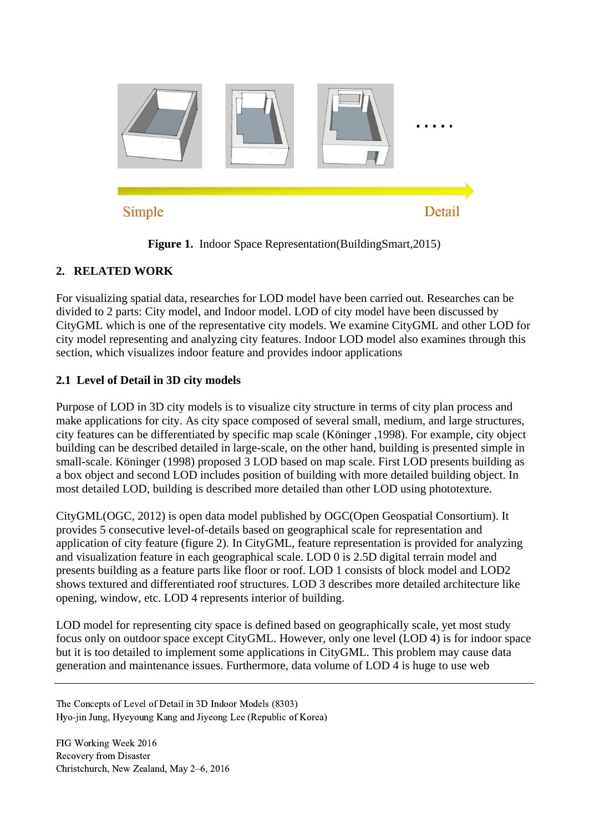

**Figure 1.** Indoor Space Representation(BuildingSmart,2015)

# **2. RELATED WORK**

For visualizing spatial data, researches for LOD model have been carried out. Researches can be divided to 2 parts: City model, and Indoor model. LOD of city model have been discussed by CityGML which is one of the representative city models. We examine CityGML and other LOD for city model representing and analyzing city features. Indoor LOD model also examines through this section, which visualizes indoor feature and provides indoor applications

# **2.1 Level of Detail in 3D city models**

Purpose of LOD in 3D city models is to visualize city structure in terms of city plan process and make applications for city. As city space composed of several small, medium, and large structures, city features can be differentiated by specific map scale (Köninger ,1998). For example, city object building can be described detailed in large-scale, on the other hand, building is presented simple in small-scale. Köninger (1998) proposed 3 LOD based on map scale. First LOD presents building as a box object and second LOD includes position of building with more detailed building object. In most detailed LOD, building is described more detailed than other LOD using phototexture.

CityGML(OGC, 2012) is open data model published by OGC(Open Geospatial Consortium). It provides 5 consecutive level-of-details based on geographical scale for representation and application of city feature (figure 2). In CityGML, feature representation is provided for analyzing and visualization feature in each geographical scale. LOD 0 is 2.5D digital terrain model and presents building as a feature parts like floor or roof. LOD 1 consists of block model and LOD2 shows textured and differentiated roof structures. LOD 3 describes more detailed architecture like opening, window, etc. LOD 4 represents interior of building.

LOD model for representing city space is defined based on geographically scale, yet most study focus only on outdoor space except CityGML. However, only one level (LOD 4) is for indoor space but it is too detailed to implement some applications in CityGML. This problem may cause data generation and maintenance issues. Furthermore, data volume of LOD 4 is huge to use web

The Concepts of Level of Detail in 3D Indoor Models (8303) Hyo-jin Jung, Hyeyoung Kang and Jiyeong Lee (Republic of Korea)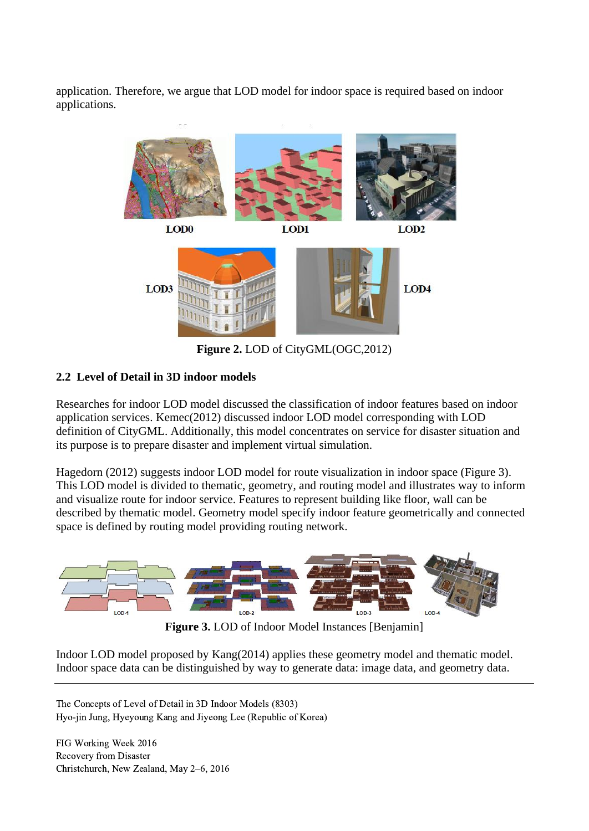application. Therefore, we argue that LOD model for indoor space is required based on indoor applications.



**Figure 2.** LOD of CityGML(OGC,2012)

## **2.2 Level of Detail in 3D indoor models**

Researches for indoor LOD model discussed the classification of indoor features based on indoor application services. Kemec(2012) discussed indoor LOD model corresponding with LOD definition of CityGML. Additionally, this model concentrates on service for disaster situation and its purpose is to prepare disaster and implement virtual simulation.

Hagedorn (2012) suggests indoor LOD model for route visualization in indoor space (Figure 3). This LOD model is divided to thematic, geometry, and routing model and illustrates way to inform and visualize route for indoor service. Features to represent building like floor, wall can be described by thematic model. Geometry model specify indoor feature geometrically and connected space is defined by routing model providing routing network.



**Figure 3.** LOD of Indoor Model Instances [Benjamin]

Indoor LOD model proposed by Kang(2014) applies these geometry model and thematic model. Indoor space data can be distinguished by way to generate data: image data, and geometry data.

The Concepts of Level of Detail in 3D Indoor Models (8303) Hyo-jin Jung, Hyeyoung Kang and Jiyeong Lee (Republic of Korea)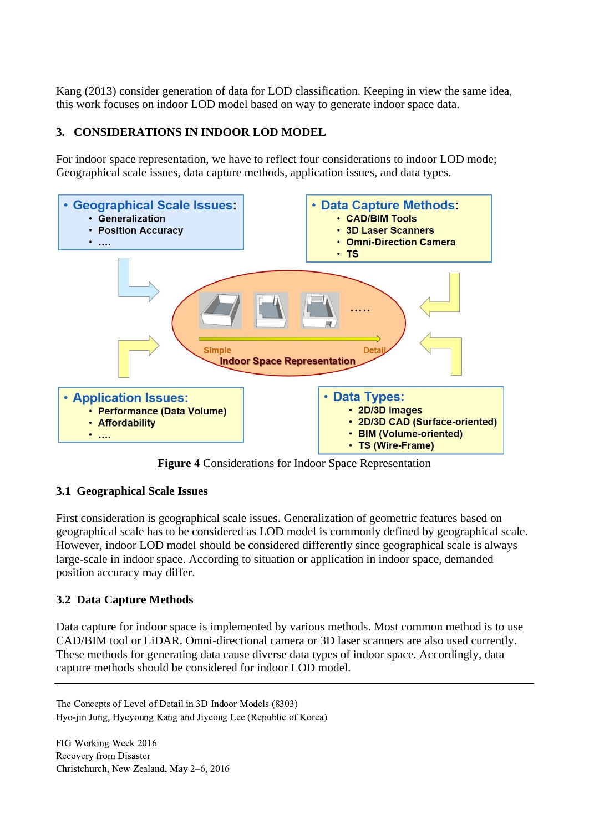Kang (2013) consider generation of data for LOD classification. Keeping in view the same idea, this work focuses on indoor LOD model based on way to generate indoor space data.

## **3. CONSIDERATIONS IN INDOOR LOD MODEL**

For indoor space representation, we have to reflect four considerations to indoor LOD mode; Geographical scale issues, data capture methods, application issues, and data types.



**Figure 4** Considerations for Indoor Space Representation

### **3.1 Geographical Scale Issues**

First consideration is geographical scale issues. Generalization of geometric features based on geographical scale has to be considered as LOD model is commonly defined by geographical scale. However, indoor LOD model should be considered differently since geographical scale is always large-scale in indoor space. According to situation or application in indoor space, demanded position accuracy may differ.

## **3.2 Data Capture Methods**

Data capture for indoor space is implemented by various methods. Most common method is to use CAD/BIM tool or LiDAR. Omni-directional camera or 3D laser scanners are also used currently. These methods for generating data cause diverse data types of indoor space. Accordingly, data capture methods should be considered for indoor LOD model.

The Concepts of Level of Detail in 3D Indoor Models (8303) Hyo-jin Jung, Hyeyoung Kang and Jiyeong Lee (Republic of Korea)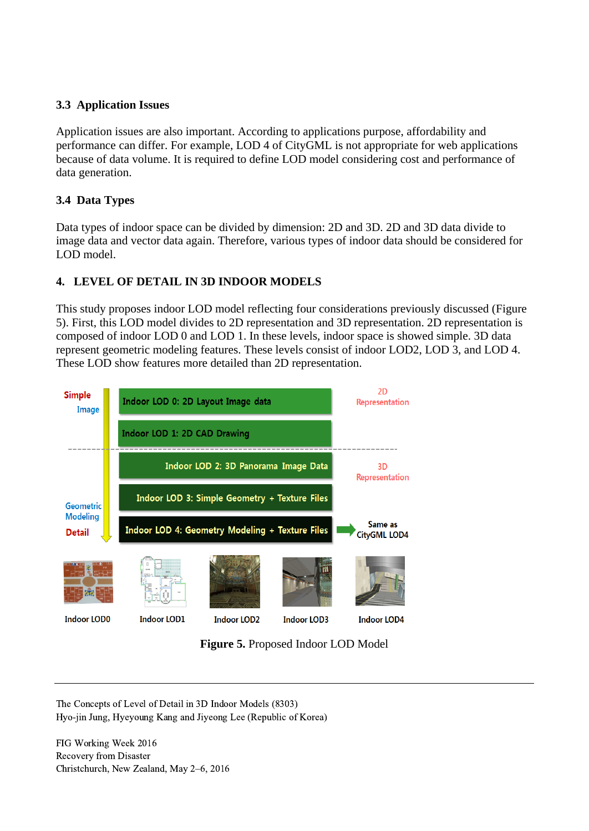## **3.3 Application Issues**

Application issues are also important. According to applications purpose, affordability and performance can differ. For example, LOD 4 of CityGML is not appropriate for web applications because of data volume. It is required to define LOD model considering cost and performance of data generation.

# **3.4 Data Types**

Data types of indoor space can be divided by dimension: 2D and 3D. 2D and 3D data divide to image data and vector data again. Therefore, various types of indoor data should be considered for LOD model.

# **4. LEVEL OF DETAIL IN 3D INDOOR MODELS**

This study proposes indoor LOD model reflecting four considerations previously discussed (Figure 5). First, this LOD model divides to 2D representation and 3D representation. 2D representation is composed of indoor LOD 0 and LOD 1. In these levels, indoor space is showed simple. 3D data represent geometric modeling features. These levels consist of indoor LOD2, LOD 3, and LOD 4. These LOD show features more detailed than 2D representation.



**Figure 5.** Proposed Indoor LOD Model

The Concepts of Level of Detail in 3D Indoor Models (8303) Hyo-jin Jung, Hyeyoung Kang and Jiyeong Lee (Republic of Korea)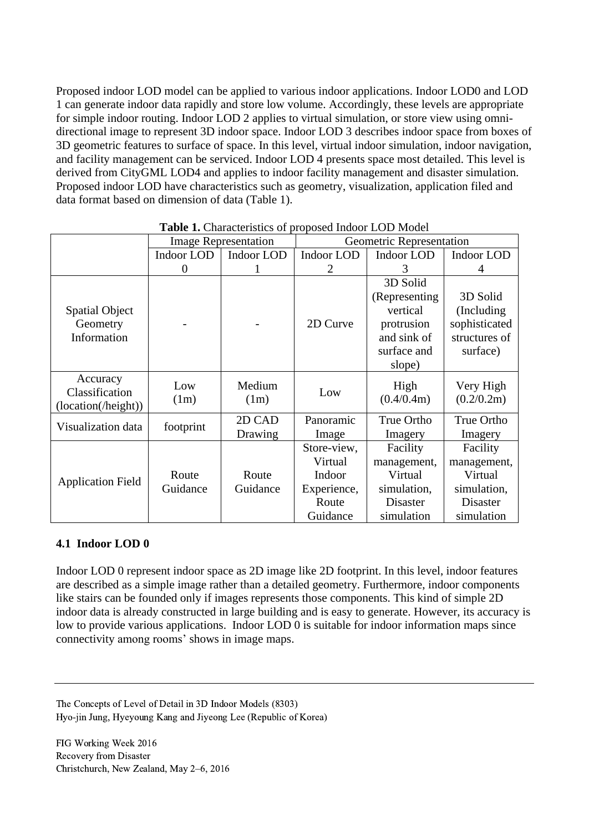Proposed indoor LOD model can be applied to various indoor applications. Indoor LOD0 and LOD 1 can generate indoor data rapidly and store low volume. Accordingly, these levels are appropriate for simple indoor routing. Indoor LOD 2 applies to virtual simulation, or store view using omnidirectional image to represent 3D indoor space. Indoor LOD 3 describes indoor space from boxes of 3D geometric features to surface of space. In this level, virtual indoor simulation, indoor navigation, and facility management can be serviced. Indoor LOD 4 presents space most detailed. This level is derived from CityGML LOD4 and applies to indoor facility management and disaster simulation. Proposed indoor LOD have characteristics such as geometry, visualization, application filed and data format based on dimension of data (Table 1).

|                                                   | <b>Image Representation</b> |                   | Geometric Representation                                             |                                                                                              |                                                                                    |
|---------------------------------------------------|-----------------------------|-------------------|----------------------------------------------------------------------|----------------------------------------------------------------------------------------------|------------------------------------------------------------------------------------|
|                                                   | <b>Indoor LOD</b>           | <b>Indoor LOD</b> | <b>Indoor LOD</b>                                                    | Indoor LOD                                                                                   | <b>Indoor LOD</b>                                                                  |
|                                                   | $\Omega$                    |                   | 2                                                                    | 3                                                                                            |                                                                                    |
| <b>Spatial Object</b><br>Geometry<br>Information  |                             |                   | 2D Curve                                                             | 3D Solid<br>(Representing)<br>vertical<br>protrusion<br>and sink of<br>surface and<br>slope) | 3D Solid<br>(Including)<br>sophisticated<br>structures of<br>surface)              |
| Accuracy<br>Classification<br>(location(/height)) | Low<br>(1m)                 | Medium<br>(1m)    | Low                                                                  | High<br>(0.4/0.4m)                                                                           | Very High<br>(0.2/0.2m)                                                            |
| Visualization data                                | footprint                   | 2D CAD<br>Drawing | Panoramic<br>Image                                                   | True Ortho<br>Imagery                                                                        | True Ortho<br>Imagery                                                              |
| <b>Application Field</b>                          | Route<br>Guidance           | Route<br>Guidance | Store-view,<br>Virtual<br>Indoor<br>Experience,<br>Route<br>Guidance | Facility<br>management,<br>Virtual<br>simulation,<br>Disaster<br>simulation                  | Facility<br>management,<br>Virtual<br>simulation,<br><b>Disaster</b><br>simulation |

Table 1. Characteristics of proposed Indoor LOD Model

### **4.1 Indoor LOD 0**

Indoor LOD 0 represent indoor space as 2D image like 2D footprint. In this level, indoor features are described as a simple image rather than a detailed geometry. Furthermore, indoor components like stairs can be founded only if images represents those components. This kind of simple 2D indoor data is already constructed in large building and is easy to generate. However, its accuracy is low to provide various applications. Indoor LOD 0 is suitable for indoor information maps since connectivity among rooms' shows in image maps.

The Concepts of Level of Detail in 3D Indoor Models (8303) Hyo-jin Jung, Hyeyoung Kang and Jiyeong Lee (Republic of Korea)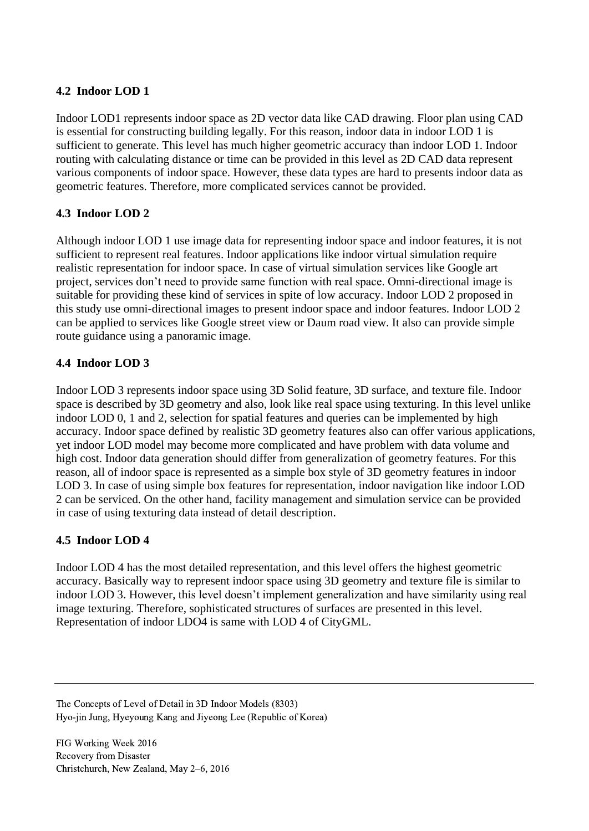### **4.2 Indoor LOD 1**

Indoor LOD1 represents indoor space as 2D vector data like CAD drawing. Floor plan using CAD is essential for constructing building legally. For this reason, indoor data in indoor LOD 1 is sufficient to generate. This level has much higher geometric accuracy than indoor LOD 1. Indoor routing with calculating distance or time can be provided in this level as 2D CAD data represent various components of indoor space. However, these data types are hard to presents indoor data as geometric features. Therefore, more complicated services cannot be provided.

### **4.3 Indoor LOD 2**

Although indoor LOD 1 use image data for representing indoor space and indoor features, it is not sufficient to represent real features. Indoor applications like indoor virtual simulation require realistic representation for indoor space. In case of virtual simulation services like Google art project, services don't need to provide same function with real space. Omni-directional image is suitable for providing these kind of services in spite of low accuracy. Indoor LOD 2 proposed in this study use omni-directional images to present indoor space and indoor features. Indoor LOD 2 can be applied to services like Google street view or Daum road view. It also can provide simple route guidance using a panoramic image.

### **4.4 Indoor LOD 3**

Indoor LOD 3 represents indoor space using 3D Solid feature, 3D surface, and texture file. Indoor space is described by 3D geometry and also, look like real space using texturing. In this level unlike indoor LOD 0, 1 and 2, selection for spatial features and queries can be implemented by high accuracy. Indoor space defined by realistic 3D geometry features also can offer various applications, yet indoor LOD model may become more complicated and have problem with data volume and high cost. Indoor data generation should differ from generalization of geometry features. For this reason, all of indoor space is represented as a simple box style of 3D geometry features in indoor LOD 3. In case of using simple box features for representation, indoor navigation like indoor LOD 2 can be serviced. On the other hand, facility management and simulation service can be provided in case of using texturing data instead of detail description.

### **4.5 Indoor LOD 4**

Indoor LOD 4 has the most detailed representation, and this level offers the highest geometric accuracy. Basically way to represent indoor space using 3D geometry and texture file is similar to indoor LOD 3. However, this level doesn't implement generalization and have similarity using real image texturing. Therefore, sophisticated structures of surfaces are presented in this level. Representation of indoor LDO4 is same with LOD 4 of CityGML.

The Concepts of Level of Detail in 3D Indoor Models (8303) Hyo-jin Jung, Hyeyoung Kang and Jiyeong Lee (Republic of Korea)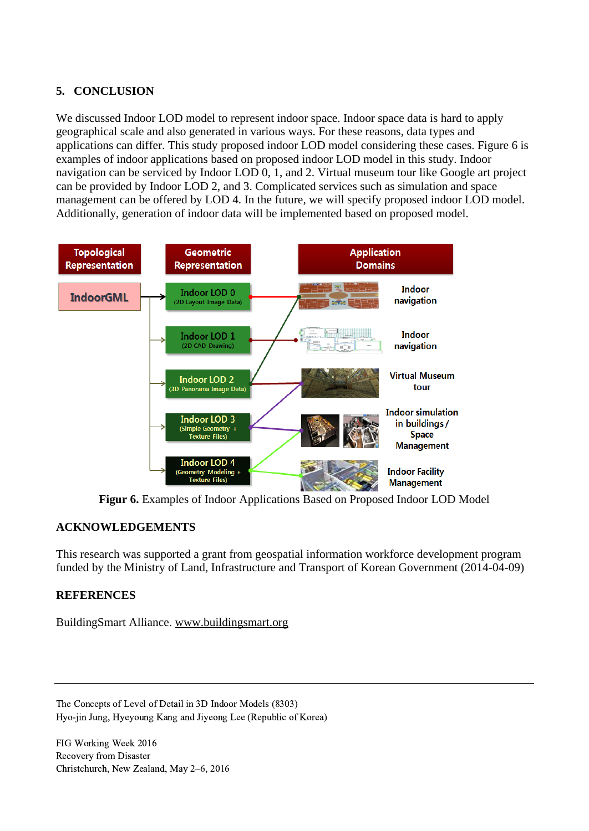## **5. CONCLUSION**

We discussed Indoor LOD model to represent indoor space. Indoor space data is hard to apply geographical scale and also generated in various ways. For these reasons, data types and applications can differ. This study proposed indoor LOD model considering these cases. Figure 6 is examples of indoor applications based on proposed indoor LOD model in this study. Indoor navigation can be serviced by Indoor LOD 0, 1, and 2. Virtual museum tour like Google art project can be provided by Indoor LOD 2, and 3. Complicated services such as simulation and space management can be offered by LOD 4. In the future, we will specify proposed indoor LOD model. Additionally, generation of indoor data will be implemented based on proposed model.



**Figur 6.** Examples of Indoor Applications Based on Proposed Indoor LOD Model

### **ACKNOWLEDGEMENTS**

This research was supported a grant from geospatial information workforce development program funded by the Ministry of Land, Infrastructure and Transport of Korean Government (2014-04-09)

### **REFERENCES**

BuildingSmart Alliance. [www.buildingsmart.org](http://www.buildingsmart.org/)

The Concepts of Level of Detail in 3D Indoor Models (8303) Hyo-jin Jung, Hyeyoung Kang and Jiyeong Lee (Republic of Korea)